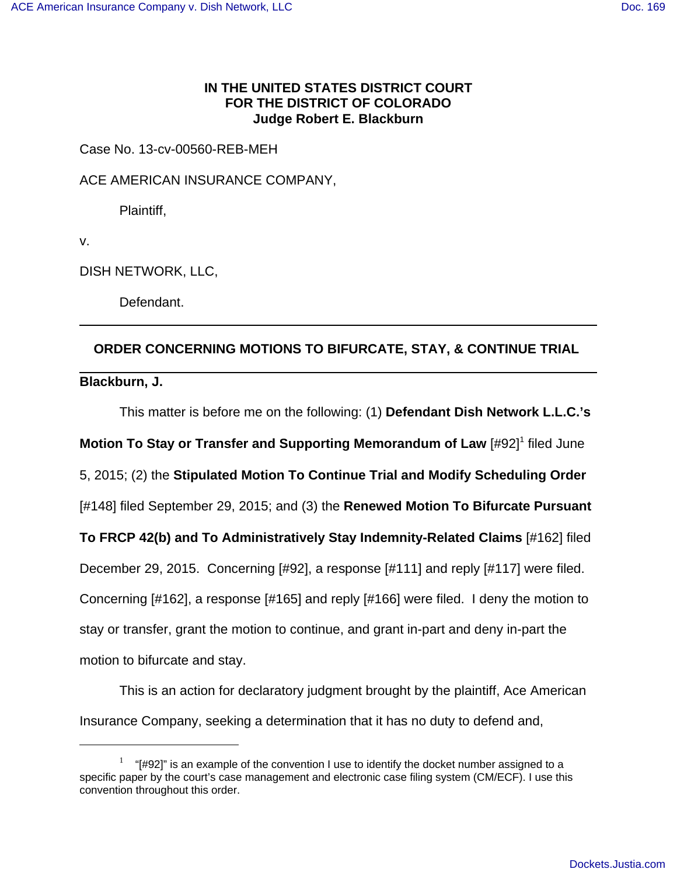## **IN THE UNITED STATES DISTRICT COURT FOR THE DISTRICT OF COLORADO Judge Robert E. Blackburn**

Case No. 13-cv-00560-REB-MEH

ACE AMERICAN INSURANCE COMPANY,

Plaintiff,

v.

DISH NETWORK, LLC,

Defendant.

## **ORDER CONCERNING MOTIONS TO BIFURCATE, STAY, & CONTINUE TRIAL**

**Blackburn, J.** 

This matter is before me on the following: (1) **Defendant Dish Network L.L.C.'s**

**Motion To Stay or Transfer and Supporting Memorandum of Law** [#92]<sup>1</sup> filed June

5, 2015; (2) the **Stipulated Motion To Continue Trial and Modify Scheduling Order**

[#148] filed September 29, 2015; and (3) the **Renewed Motion To Bifurcate Pursuant**

**To FRCP 42(b) and To Administratively Stay Indemnity-Related Claims** [#162] filed

December 29, 2015. Concerning [#92], a response [#111] and reply [#117] were filed.

Concerning [#162], a response [#165] and reply [#166] were filed. I deny the motion to

stay or transfer, grant the motion to continue, and grant in-part and deny in-part the

motion to bifurcate and stay.

This is an action for declaratory judgment brought by the plaintiff, Ace American Insurance Company, seeking a determination that it has no duty to defend and,

 $1$  "[#92]" is an example of the convention I use to identify the docket number assigned to a specific paper by the court's case management and electronic case filing system (CM/ECF). I use this convention throughout this order.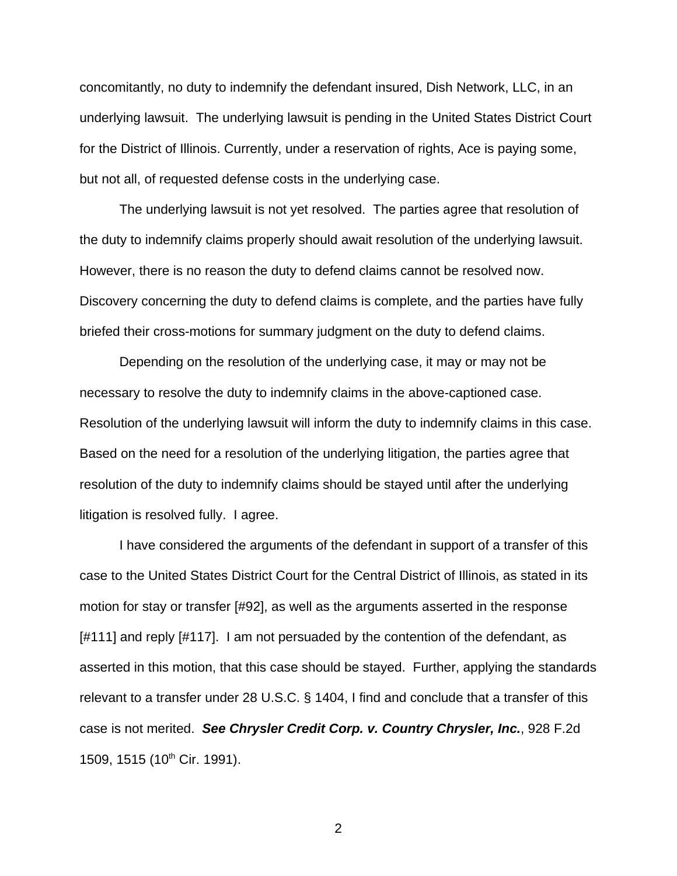concomitantly, no duty to indemnify the defendant insured, Dish Network, LLC, in an underlying lawsuit. The underlying lawsuit is pending in the United States District Court for the District of Illinois. Currently, under a reservation of rights, Ace is paying some, but not all, of requested defense costs in the underlying case.

The underlying lawsuit is not yet resolved. The parties agree that resolution of the duty to indemnify claims properly should await resolution of the underlying lawsuit. However, there is no reason the duty to defend claims cannot be resolved now. Discovery concerning the duty to defend claims is complete, and the parties have fully briefed their cross-motions for summary judgment on the duty to defend claims.

Depending on the resolution of the underlying case, it may or may not be necessary to resolve the duty to indemnify claims in the above-captioned case. Resolution of the underlying lawsuit will inform the duty to indemnify claims in this case. Based on the need for a resolution of the underlying litigation, the parties agree that resolution of the duty to indemnify claims should be stayed until after the underlying litigation is resolved fully. I agree.

I have considered the arguments of the defendant in support of a transfer of this case to the United States District Court for the Central District of Illinois, as stated in its motion for stay or transfer [#92], as well as the arguments asserted in the response [#111] and reply [#117]. I am not persuaded by the contention of the defendant, as asserted in this motion, that this case should be stayed. Further, applying the standards relevant to a transfer under 28 U.S.C. § 1404, I find and conclude that a transfer of this case is not merited. **See Chrysler Credit Corp. v. Country Chrysler, Inc.**, 928 F.2d 1509, 1515 (10<sup>th</sup> Cir. 1991).

2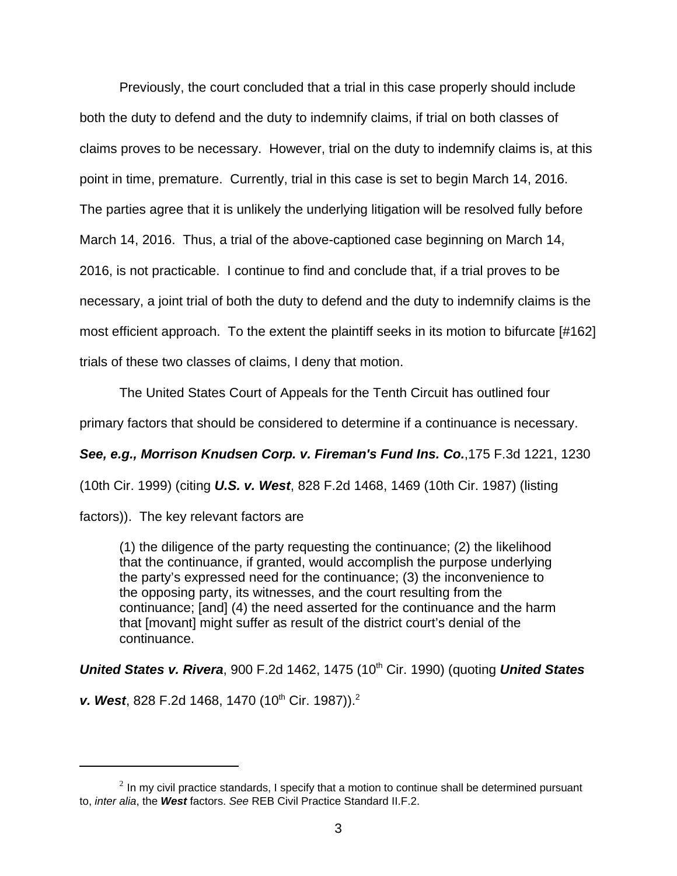Previously, the court concluded that a trial in this case properly should include both the duty to defend and the duty to indemnify claims, if trial on both classes of claims proves to be necessary. However, trial on the duty to indemnify claims is, at this point in time, premature. Currently, trial in this case is set to begin March 14, 2016. The parties agree that it is unlikely the underlying litigation will be resolved fully before March 14, 2016. Thus, a trial of the above-captioned case beginning on March 14, 2016, is not practicable. I continue to find and conclude that, if a trial proves to be necessary, a joint trial of both the duty to defend and the duty to indemnify claims is the most efficient approach. To the extent the plaintiff seeks in its motion to bifurcate [#162] trials of these two classes of claims, I deny that motion.

The United States Court of Appeals for the Tenth Circuit has outlined four

primary factors that should be considered to determine if a continuance is necessary.

**See, e.g., Morrison Knudsen Corp. v. Fireman's Fund Ins. Co.**,175 F.3d 1221, 1230

(10th Cir. 1999) (citing **U.S. v. West**, 828 F.2d 1468, 1469 (10th Cir. 1987) (listing

factors)). The key relevant factors are

(1) the diligence of the party requesting the continuance; (2) the likelihood that the continuance, if granted, would accomplish the purpose underlying the party's expressed need for the continuance; (3) the inconvenience to the opposing party, its witnesses, and the court resulting from the continuance; [and] (4) the need asserted for the continuance and the harm that [movant] might suffer as result of the district court's denial of the continuance.

**United States v. Rivera**, 900 F.2d 1462, 1475 (10<sup>th</sup> Cir. 1990) (quoting **United States** 

**v. West**, 828 F.2d 1468, 1470 (10<sup>th</sup> Cir. 1987)).<sup>2</sup>

 $^2$  In my civil practice standards, I specify that a motion to continue shall be determined pursuant to, inter alia, the **West** factors. See REB Civil Practice Standard II.F.2.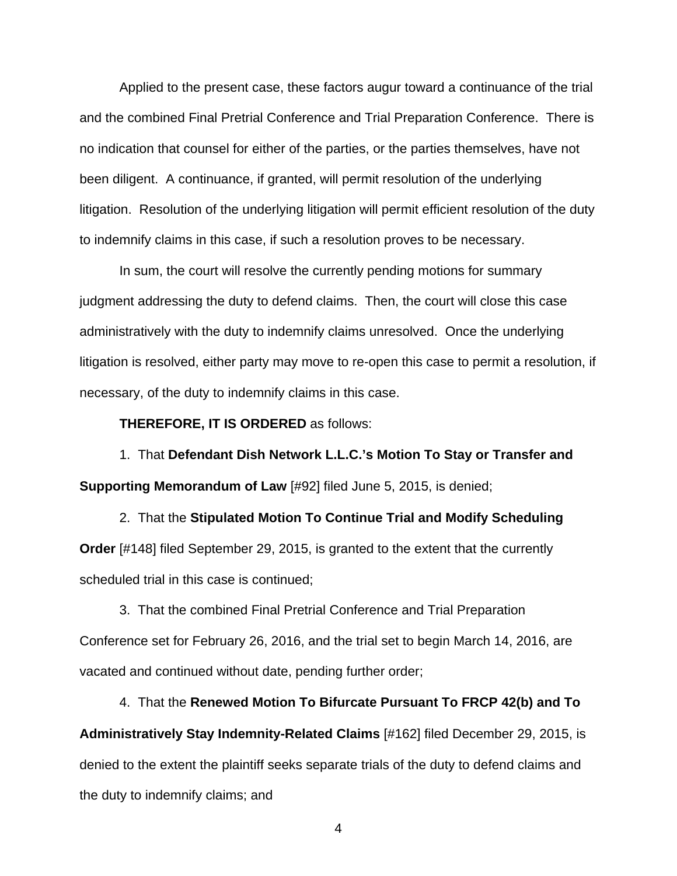Applied to the present case, these factors augur toward a continuance of the trial and the combined Final Pretrial Conference and Trial Preparation Conference. There is no indication that counsel for either of the parties, or the parties themselves, have not been diligent. A continuance, if granted, will permit resolution of the underlying litigation. Resolution of the underlying litigation will permit efficient resolution of the duty to indemnify claims in this case, if such a resolution proves to be necessary.

In sum, the court will resolve the currently pending motions for summary judgment addressing the duty to defend claims. Then, the court will close this case administratively with the duty to indemnify claims unresolved. Once the underlying litigation is resolved, either party may move to re-open this case to permit a resolution, if necessary, of the duty to indemnify claims in this case.

**THEREFORE, IT IS ORDERED** as follows:

1. That **Defendant Dish Network L.L.C.'s Motion To Stay or Transfer and Supporting Memorandum of Law** [#92] filed June 5, 2015, is denied;

2. That the **Stipulated Motion To Continue Trial and Modify Scheduling Order** [#148] filed September 29, 2015, is granted to the extent that the currently scheduled trial in this case is continued;

3. That the combined Final Pretrial Conference and Trial Preparation Conference set for February 26, 2016, and the trial set to begin March 14, 2016, are vacated and continued without date, pending further order;

4. That the **Renewed Motion To Bifurcate Pursuant To FRCP 42(b) and To Administratively Stay Indemnity-Related Claims** [#162] filed December 29, 2015, is denied to the extent the plaintiff seeks separate trials of the duty to defend claims and the duty to indemnify claims; and

4